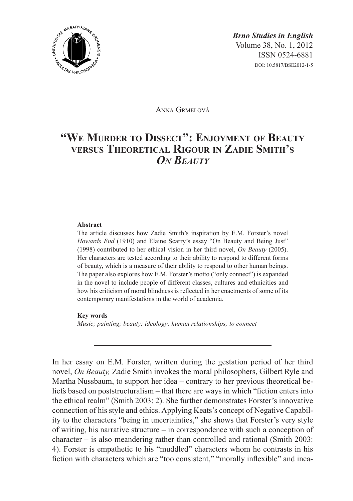

Anna Grmelová

# **"We Murder to Dissect": Enjoyment of Beauty versus Theoretical Rigour in Zadie Smith's** *On Beauty*

### **Abstract**

The article discusses how Zadie Smith's inspiration by E.M. Forster's novel *Howards End* (1910) and Elaine Scarry's essay "On Beauty and Being Just" (1998) contributed to her ethical vision in her third novel, *On Beauty* (2005). Her characters are tested according to their ability to respond to different forms of beauty, which is a measure of their ability to respond to other human beings. The paper also explores how E.M. Forster's motto ("only connect") is expanded in the novel to include people of different classes, cultures and ethnicities and how his criticism of moral blindness is reflected in her enactments of some of its contemporary manifestations in the world of academia.

#### **Key words**

*Music; painting; beauty; ideology; human relationships; to connect*

In her essay on E.M. Forster, written during the gestation period of her third novel, *On Beauty,* Zadie Smith invokes the moral philosophers, Gilbert Ryle and Martha Nussbaum, to support her idea – contrary to her previous theoretical beliefs based on poststructuralism – that there are ways in which "fiction enters into the ethical realm" (Smith 2003: 2). She further demonstrates Forster's innovative connection of his style and ethics. Applying Keats's concept of Negative Capability to the characters "being in uncertainties," she shows that Forster's very style of writing, his narrative structure – in correspondence with such a conception of character – is also meandering rather than controlled and rational (Smith 2003: 4). Forster is empathetic to his "muddled" characters whom he contrasts in his fiction with characters which are "too consistent," "morally inflexible" and inca-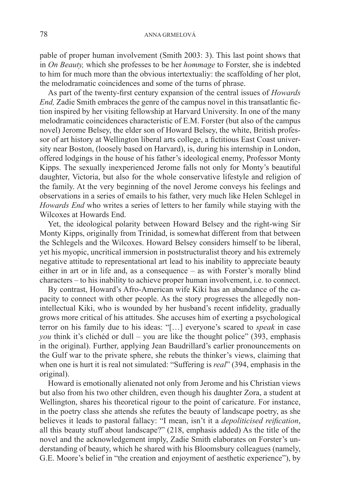pable of proper human involvement (Smith 2003: 3). This last point shows that in *On Beauty,* which she professes to be her *hommage* to Forster, she is indebted to him for much more than the obvious intertextualiy: the scaffolding of her plot, the melodramatic coincidences and some of the turns of phrase.

As part of the twenty-first century expansion of the central issues of *Howards End,* Zadie Smith embraces the genre of the campus novel in this transatlantic fiction inspired by her visiting fellowship at Harvard University. In one of the many melodramatic coincidences characteristic of E.M. Forster (but also of the campus novel) Jerome Belsey, the elder son of Howard Belsey, the white, British professor of art history at Wellington liberal arts college, a fictitious East Coast university near Boston, (loosely based on Harvard), is, during his internship in London, offered lodgings in the house of his father's ideological enemy, Professor Monty Kipps. The sexually inexperienced Jerome falls not only for Monty's beautiful daughter, Victoria, but also for the whole conservative lifestyle and religion of the family. At the very beginning of the novel Jerome conveys his feelings and observations in a series of emails to his father, very much like Helen Schlegel in *Howards End* who writes a series of letters to her family while staying with the Wilcoxes at Howards End.

Yet, the ideological polarity between Howard Belsey and the right-wing Sir Monty Kipps, originally from Trinidad, is somewhat different from that between the Schlegels and the Wilcoxes. Howard Belsey considers himself to be liberal, yet his myopic, uncritical immersion in poststructuralist theory and his extremely negative attitude to representational art lead to his inability to appreciate beauty either in art or in life and, as a consequence – as with Forster's morally blind characters – to his inability to achieve proper human involvement, i.e. to connect.

By contrast, Howard's Afro-American wife Kiki has an abundance of the capacity to connect with other people. As the story progresses the allegedly nonintellectual Kiki, who is wounded by her husband's recent infidelity, gradually grows more critical of his attitudes. She accuses him of exerting a psychological terror on his family due to his ideas: "[…] everyone's scared to *speak* in case *you* think it's clichéd or dull – you are like the thought police" (393, emphasis in the original). Further, applying Jean Baudrillard's earlier pronouncements on the Gulf war to the private sphere, she rebuts the thinker's views, claiming that when one is hurt it is real not simulated: "Suffering is *real*" (394, emphasis in the original).

Howard is emotionally alienated not only from Jerome and his Christian views but also from his two other children, even though his daughter Zora, a student at Wellington, shares his theoretical rigour to the point of caricature. For instance, in the poetry class she attends she refutes the beauty of landscape poetry, as she believes it leads to pastoral fallacy: "I mean, isn't it a *depoliticised reification*, all this beauty stuff about landscape?" (218, emphasis added) As the title of the novel and the acknowledgement imply, Zadie Smith elaborates on Forster's understanding of beauty, which he shared with his Bloomsbury colleagues (namely, G.E. Moore's belief in "the creation and enjoyment of aesthetic experience"), by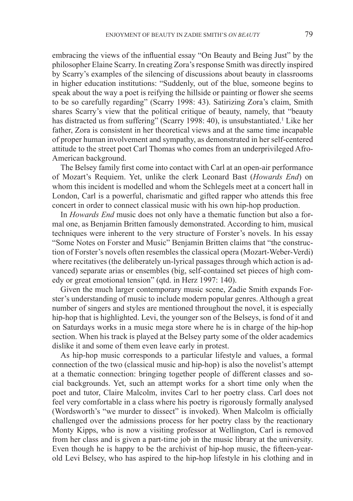embracing the views of the influential essay "On Beauty and Being Just" by the philosopher Elaine Scarry. In creating Zora's response Smith was directly inspired by Scarry's examples of the silencing of discussions about beauty in classrooms in higher education institutions: "Suddenly, out of the blue, someone begins to speak about the way a poet is reifying the hillside or painting or flower she seems to be so carefully regarding" (Scarry 1998: 43). Satirizing Zora's claim, Smith shares Scarry's view that the political critique of beauty, namely, that "beauty has distracted us from suffering" (Scarry 1998: 40), is unsubstantiated.<sup>1</sup> Like her father, Zora is consistent in her theoretical views and at the same time incapable of proper human involvement and sympathy, as demonstrated in her self-centered attitude to the street poet Carl Thomas who comes from an underprivileged Afro-American background.

The Belsey family first come into contact with Carl at an open-air performance of Mozart's Requiem. Yet, unlike the clerk Leonard Bast (*Howards End*) on whom this incident is modelled and whom the Schlegels meet at a concert hall in London, Carl is a powerful, charismatic and gifted rapper who attends this free concert in order to connect classical music with his own hip-hop production.

In *Howards End* music does not only have a thematic function but also a formal one, as Benjamin Britten famously demonstrated. According to him, musical techniques were inherent to the very structure of Forster's novels. In his essay "Some Notes on Forster and Music" Benjamin Britten claims that "the construction of Forster's novels often resembles the classical opera (Mozart-Weber-Verdi) where recitatives (the deliberately un-lyrical passages through which action is advanced) separate arias or ensembles (big, self-contained set pieces of high comedy or great emotional tension" (qtd. in Herz 1997: 140).

Given the much larger contemporary music scene, Zadie Smith expands Forster's understanding of music to include modern popular genres. Although a great number of singers and styles are mentioned throughout the novel, it is especially hip-hop that is highlighted. Levi, the younger son of the Belseys, is fond of it and on Saturdays works in a music mega store where he is in charge of the hip-hop section. When his track is played at the Belsey party some of the older academics dislike it and some of them even leave early in protest.

As hip-hop music corresponds to a particular lifestyle and values, a formal connection of the two (classical music and hip-hop) is also the novelist's attempt at a thematic connection: bringing together people of different classes and social backgrounds. Yet, such an attempt works for a short time only when the poet and tutor, Claire Malcolm, invites Carl to her poetry class. Carl does not feel very comfortable in a class where his poetry is rigorously formally analysed (Wordsworth's "we murder to dissect" is invoked). When Malcolm is officially challenged over the admissions process for her poetry class by the reactionary Monty Kipps, who is now a visiting professor at Wellington, Carl is removed from her class and is given a part-time job in the music library at the university. Even though he is happy to be the archivist of hip-hop music, the fifteen-yearold Levi Belsey, who has aspired to the hip-hop lifestyle in his clothing and in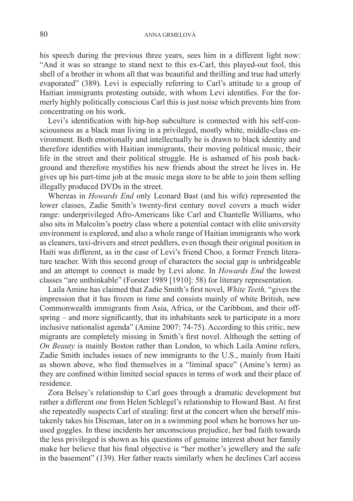his speech during the previous three years, sees him in a different light now: "And it was so strange to stand next to this ex-Carl, this played-out fool, this shell of a brother in whom all that was beautiful and thrilling and true had utterly evaporated" (389). Levi is especially referring to Carl's attitude to a group of Haitian immigrants protesting outside, with whom Levi identifies. For the formerly highly politically conscious Carl this is just noise which prevents him from concentrating on his work.

Levi's identification with hip-hop subculture is connected with his self-consciousness as a black man living in a privileged, mostly white, middle-class environment. Both emotionally and intellectually he is drawn to black identity and therefore identifies with Haitian immigrants, their moving political music, their life in the street and their political struggle. He is ashamed of his posh background and therefore mystifies his new friends about the street he lives in. He gives up his part-time job at the music mega store to be able to join them selling illegally produced DVDs in the street.

Whereas in *Howards End* only Leonard Bast (and his wife) represented the lower classes, Zadie Smith's twenty-first century novel covers a much wider range: underprivileged Afro-Americans like Carl and Chantelle Williams, who also sits in Malcolm's poetry class where a potential contact with elite university environment is explored, and also a whole range of Haitian immigrants who work as cleaners, taxi-drivers and street peddlers, even though their original position in Haiti was different, as in the case of Levi's friend Choo, a former French literature teacher. With this second group of characters the social gap is unbridgeable and an attempt to connect is made by Levi alone. In *Howards End* the lowest classes "are unthinkable" (Forster 1989 [1910]: 58) for literary representation.

Laila Amine has claimed that Zadie Smith's first novel, *White Teeth,* "gives the impression that it has frozen in time and consists mainly of white British, new Commonwealth immigrants from Asia, Africa, or the Caribbean, and their offspring – and more significantly, that its inhabitants seek to participate in a more inclusive nationalist agenda" (Amine 2007: 74-75). According to this critic, new migrants are completely missing in Smith's first novel. Although the setting of *On Beauty* is mainly Boston rather than London, to which Laila Amine refers, Zadie Smith includes issues of new immigrants to the U.S., mainly from Haiti as shown above, who find themselves in a "liminal space" (Amine's term) as they are confined within limited social spaces in terms of work and their place of residence.

Zora Belsey's relationship to Carl goes through a dramatic development but rather a different one from Helen Schlegel's relationship to Howard Bast. At first she repeatedly suspects Carl of stealing: first at the concert when she herself mistakenly takes his Discman, later on in a swimming pool when he borrows her unused goggles. In these incidents her unconscious prejudice, her bad faith towards the less privileged is shown as his questions of genuine interest about her family make her believe that his final objective is "her mother's jewellery and the safe in the basement" (139). Her father reacts similarly when he declines Carl access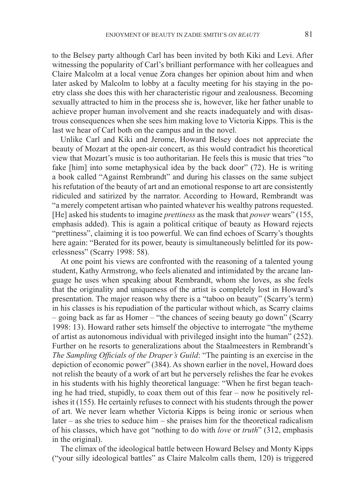to the Belsey party although Carl has been invited by both Kiki and Levi. After witnessing the popularity of Carl's brilliant performance with her colleagues and Claire Malcolm at a local venue Zora changes her opinion about him and when later asked by Malcolm to lobby at a faculty meeting for his staying in the poetry class she does this with her characteristic rigour and zealousness. Becoming sexually attracted to him in the process she is, however, like her father unable to achieve proper human involvement and she reacts inadequately and with disastrous consequences when she sees him making love to Victoria Kipps. This is the last we hear of Carl both on the campus and in the novel.

Unlike Carl and Kiki and Jerome, Howard Belsey does not appreciate the beauty of Mozart at the open-air concert, as this would contradict his theoretical view that Mozart's music is too authoritarian. He feels this is music that tries "to fake [him] into some metaphysical idea by the back door" (72). He is writing a book called "Against Rembrandt" and during his classes on the same subject his refutation of the beauty of art and an emotional response to art are consistently ridiculed and satirized by the narrator. According to Howard, Rembrandt was "a merely competent artisan who painted whatever his wealthy patrons requested. [He] asked his students to imagine *prettiness* as the mask that *power* wears" (155, emphasis added). This is again a political critique of beauty as Howard rejects "prettiness", claiming it is too powerful. We can find echoes of Scarry's thoughts here again: "Berated for its power, beauty is simultaneously belittled for its powerlessness" (Scarry 1998: 58).

At one point his views are confronted with the reasoning of a talented young student, Kathy Armstrong, who feels alienated and intimidated by the arcane language he uses when speaking about Rembrandt, whom she loves, as she feels that the originality and uniqueness of the artist is completely lost in Howard's presentation. The major reason why there is a "taboo on beauty" (Scarry's term) in his classes is his repudiation of the particular without which, as Scarry claims – going back as far as Homer – "the chances of seeing beauty go down" (Scarry 1998: 13). Howard rather sets himself the objective to interrogate "the mytheme of artist as autonomous individual with privileged insight into the human" (252). Further on he resorts to generalizations about the Staalmeesters in Rembrandt's *The Sampling Officials of the Draper's Guild*: "The painting is an exercise in the depiction of economic power" (384). As shown earlier in the novel, Howard does not relish the beauty of a work of art but he perversely relishes the fear he evokes in his students with his highly theoretical language: "When he first began teaching he had tried, stupidly, to coax them out of this fear – now he positively relishes it (155). He certainly refuses to connect with his students through the power of art. We never learn whether Victoria Kipps is being ironic or serious when later – as she tries to seduce him – she praises him for the theoretical radicalism of his classes, which have got "nothing to do with *love* or *truth*" (312, emphasis in the original).

The climax of the ideological battle between Howard Belsey and Monty Kipps ("your silly ideological battles" as Claire Malcolm calls them, 120) is triggered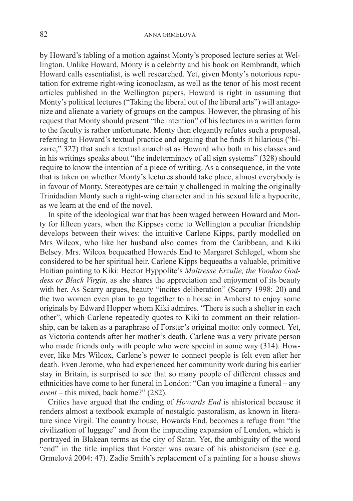by Howard's tabling of a motion against Monty's proposed lecture series at Wellington. Unlike Howard, Monty is a celebrity and his book on Rembrandt, which Howard calls essentialist, is well researched. Yet, given Monty's notorious reputation for extreme right-wing iconoclasm, as well as the tenor of his most recent articles published in the Wellington papers, Howard is right in assuming that Monty's political lectures ("Taking the liberal out of the liberal arts") will antagonize and alienate a variety of groups on the campus. However, the phrasing of his request that Monty should present "the intention" of his lectures in a written form to the faculty is rather unfortunate. Monty then elegantly refutes such a proposal, referring to Howard's textual practice and arguing that he finds it hilarious ("bizarre," 327) that such a textual anarchist as Howard who both in his classes and in his writings speaks about "the indeterminacy of all sign systems" (328) should require to know the intention of a piece of writing. As a consequence, in the vote that is taken on whether Monty's lectures should take place, almost everybody is in favour of Monty. Stereotypes are certainly challenged in making the originally Trinidadian Monty such a right-wing character and in his sexual life a hypocrite, as we learn at the end of the novel.

In spite of the ideological war that has been waged between Howard and Monty for fifteen years, when the Kippses come to Wellington a peculiar friendship develops between their wives: the intuitive Carlene Kipps, partly modelled on Mrs Wilcox, who like her husband also comes from the Caribbean, and Kiki Belsey. Mrs. Wilcox bequeathed Howards End to Margaret Schlegel, whom she considered to be her spiritual heir. Carlene Kipps bequeaths a valuable, primitive Haitian painting to Kiki: Hector Hyppolite's *Maitresse Erzulie, the Voodoo Goddess or Black Virgin,* as she shares the appreciation and enjoyment of its beauty with her. As Scarry argues, beauty "incites deliberation" (Scarry 1998: 20) and the two women even plan to go together to a house in Amherst to enjoy some originals by Edward Hopper whom Kiki admires. "There is such a shelter in each other", which Carlene repeatedly quotes to Kiki to comment on their relationship, can be taken as a paraphrase of Forster's original motto: only connect. Yet, as Victoria contends after her mother's death, Carlene was a very private person who made friends only with people who were special in some way (314). However, like Mrs Wilcox, Carlene's power to connect people is felt even after her death. Even Jerome, who had experienced her community work during his earlier stay in Britain, is surprised to see that so many people of different classes and ethnicities have come to her funeral in London: "Can you imagine a funeral – any *event –* this mixed, back home?" (282).

Critics have argued that the ending of *Howards End* is ahistorical because it renders almost a textbook example of nostalgic pastoralism, as known in literature since Virgil. The country house, Howards End, becomes a refuge from "the civilization of luggage" and from the impending expansion of London, which is portrayed in Blakean terms as the city of Satan. Yet, the ambiguity of the word "end" in the title implies that Forster was aware of his ahistoricism (see e.g. Grmelová 2004: 47). Zadie Smith's replacement of a painting for a house shows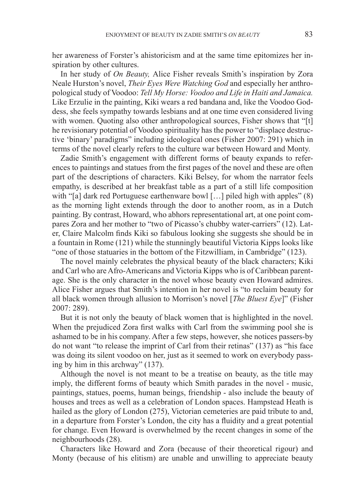her awareness of Forster's ahistoricism and at the same time epitomizes her inspiration by other cultures.

In her study of *On Beauty,* Alice Fisher reveals Smith's inspiration by Zora Neale Hurston's novel, *Their Eyes Were Watching God* and especially her anthropological study of Voodoo: *Tell My Horse: Voodoo and Life in Haiti and Jamaica.*  Like Erzulie in the painting, Kiki wears a red bandana and, like the Voodoo Goddess, she feels sympathy towards lesbians and at one time even considered living with women. Quoting also other anthropological sources, Fisher shows that "[t] he revisionary potential of Voodoo spirituality has the power to "displace destructive 'binary' paradigms" including ideological ones (Fisher 2007: 291) which in terms of the novel clearly refers to the culture war between Howard and Monty.

Zadie Smith's engagement with different forms of beauty expands to references to paintings and statues from the first pages of the novel and these are often part of the descriptions of characters. Kiki Belsey, for whom the narrator feels empathy, is described at her breakfast table as a part of a still life composition with "[a] dark red Portuguese earthenware bowl [...] piled high with apples" (8) as the morning light extends through the door to another room, as in a Dutch painting. By contrast, Howard, who abhors representational art, at one point compares Zora and her mother to "two of Picasso's chubby water-carriers" (12). Later, Claire Malcolm finds Kiki so fabulous looking she suggests she should be in a fountain in Rome (121) while the stunningly beautiful Victoria Kipps looks like "one of those statuaries in the bottom of the Fitzwilliam, in Cambridge" (123).

The novel mainly celebrates the physical beauty of the black characters; Kiki and Carl who are Afro-Americans and Victoria Kipps who is of Caribbean parentage. She is the only character in the novel whose beauty even Howard admires. Alice Fisher argues that Smith's intention in her novel is "to reclaim beauty for all black women through allusion to Morrison's novel [*The Bluest Eye*]" (Fisher 2007: 289).

But it is not only the beauty of black women that is highlighted in the novel. When the prejudiced Zora first walks with Carl from the swimming pool she is ashamed to be in his company. After a few steps, however, she notices passers-by do not want "to release the imprint of Carl from their retinas" (137) as "his face was doing its silent voodoo on her, just as it seemed to work on everybody passing by him in this archway" (137).

Although the novel is not meant to be a treatise on beauty, as the title may imply, the different forms of beauty which Smith parades in the novel - music, paintings, statues, poems, human beings, friendship - also include the beauty of houses and trees as well as a celebration of London spaces. Hampstead Heath is hailed as the glory of London (275), Victorian cemeteries are paid tribute to and, in a departure from Forster's London, the city has a fluidity and a great potential for change. Even Howard is overwhelmed by the recent changes in some of the neighbourhoods (28).

Characters like Howard and Zora (because of their theoretical rigour) and Monty (because of his elitism) are unable and unwilling to appreciate beauty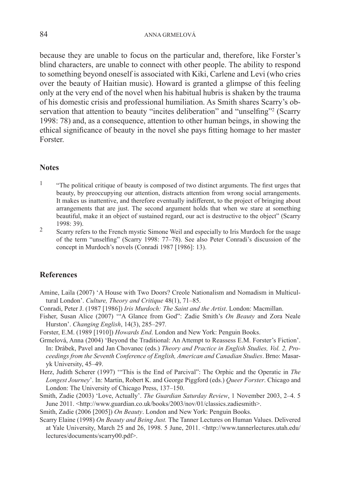because they are unable to focus on the particular and, therefore, like Forster's blind characters, are unable to connect with other people. The ability to respond to something beyond oneself is associated with Kiki, Carlene and Levi (who cries over the beauty of Haitian music). Howard is granted a glimpse of this feeling only at the very end of the novel when his habitual hubris is shaken by the trauma of his domestic crisis and professional humiliation. As Smith shares Scarry's observation that attention to beauty "incites deliberation" and "unselfing"<sup>2</sup> (Scarry 1998: 78) and, as a consequence, attention to other human beings, in showing the ethical significance of beauty in the novel she pays fitting homage to her master Forster.

## **Notes**

- <sup>1</sup> "The political critique of beauty is composed of two distinct arguments. The first urges that beauty, by preoccupying our attention, distracts attention from wrong social arrangements. It makes us inattentive, and therefore eventually indifferent, to the project of bringing about arrangements that are just. The second argument holds that when we stare at something beautiful, make it an object of sustained regard, our act is destructive to the object" (Scarry 1998: 39).
- <sup>2</sup> Scarry refers to the French mystic Simone Weil and especially to Iris Murdoch for the usage of the term "unselfing" (Scarry 1998: 77–78). See also Peter Conradi's discussion of the concept in Murdoch's novels (Conradi 1987 [1986]: 13).

## **References**

- Amine, Laila (2007) 'A House with Two Doors? Creole Nationalism and Nomadism in Multicultural London'. *Culture, Theory and Critique* 48(1), 71–85.
- Conradi, Peter J. (1987 [1986]) *Iris Murdoch: The Saint and the Artist*. London: Macmillan.
- Fisher, Susan Alice (2007) '"A Glance from God": Zadie Smith's *On Beauty* and Zora Neale Hurston'. *Changing English*, 14(3), 285–297*.*
- Forster, E.M. (1989 [1910]) *Howards End*. London and New York: Penguin Books.
- Grmelová, Anna (2004) 'Beyond the Traditional: An Attempt to Reassess E.M. Forster's Fiction'. In: Drábek, Pavel and Jan Chovanec (eds.) *Theory and Practice in English Studies, Vol. 2, Proceedings from the Seventh Conference of English, American and Canadian Studies*. Brno: Masaryk University, 45–49.
- Herz, Judith Scherer (1997) '"This is the End of Parcival": The Orphic and the Operatic in *The Longest Journey*'. In: Martin, Robert K. and George Piggford (eds.) *Queer Forster*. Chicago and London: The University of Chicago Press, 137–150.
- Smith, Zadie (2003) 'Love, Actually'. *The Guardian Saturday Review*, 1 November 2003, 2–4. 5 June 2011. <http://www.guardian.co.uk/books/2003/nov/01/classics.zadiesmith>.
- Smith, Zadie (2006 [2005]) *On Beauty*. London and New York: Penguin Books.
- Scarry Elaine (1998) *On Beauty and Being Just.* The Tanner Lectures on Human Values. Delivered at Yale University, March 25 and 26, 1998. 5 June, 2011. <http://www.tannerlectures.utah.edu/ lectures/documents/scarry00.pdf>.